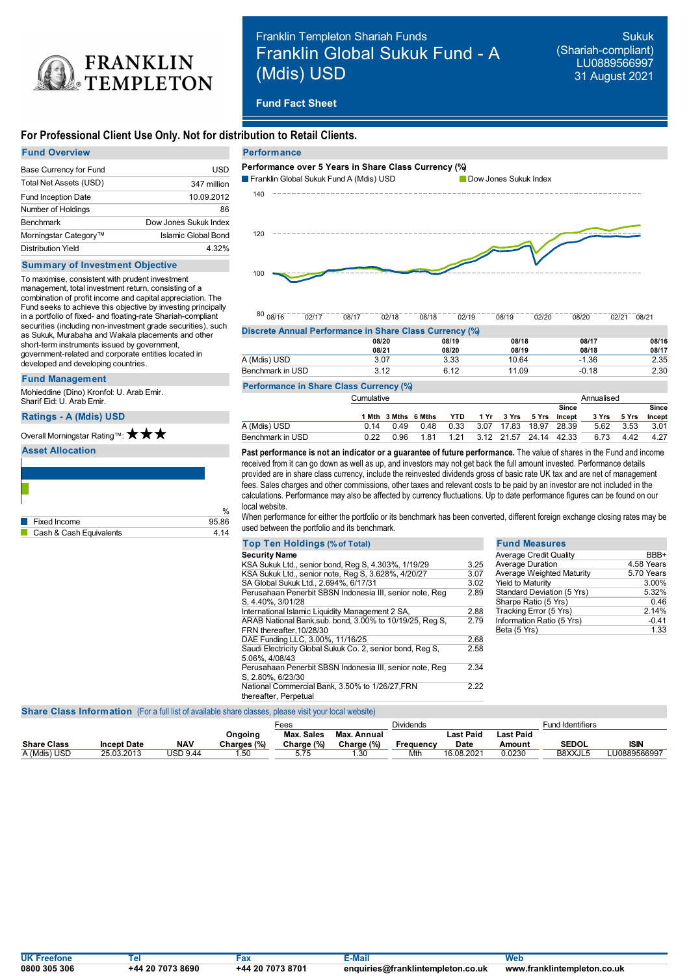

# Franklin Templeton Shariah Funds Franklin Global Sukuk Fund - A (Mdis) USD

Sukuk (Shariah-compliant) LU0889566997 31 August 2021

# **Fund Fact Sheet**

# **For Professional Client Use Only. Not for distribution to Retail Clients.**

| <b>Fund Overview</b>       |                       |
|----------------------------|-----------------------|
| Base Currency for Fund     | USD                   |
| Total Net Assets (USD)     | 347 million           |
| <b>Fund Inception Date</b> | 10.09.2012            |
| Number of Holdings         | 86                    |
| <b>Benchmark</b>           | Dow Jones Sukuk Index |
| Morningstar Category™      | Islamic Global Bond   |
| <b>Distribution Yield</b>  | 4.32%                 |

#### **Summary of Investment Objective**

To maximise, consistent with prudent investment management, total investment return, consisting of a combination of profit income and capital appreciation. The Fund seeks to achieve this objective by investing principally in a portfolio of fixed- and floating-rate Shariah-compliant securities (including non-investment grade securities), such as Sukuk, Murabaha and Wakala placements and other short-term instruments issued by government, government-related and corporate entities located in developed and developing countries.

#### **Fund Management**

Mohieddine (Dino) Kronfol: U. Arab Emir. Sharif Eid: U. Arab Emir.

### **Ratings -A (Mdis) USD**

Overall Morningstar Rating™: ★ ★ ★

### **Asset Allocation**

| 9586 |
|------|
| 4 14 |
|      |



| $80^{0.08/16}$                                          | 02/17 | 08/17 | 02/18 | 08/18 | 02/19 | 08/19 | 02/20 | 08/20 | 02/21 08/21 |  |
|---------------------------------------------------------|-------|-------|-------|-------|-------|-------|-------|-------|-------------|--|
| Discrete Annual Performance in Share Class Currency (%) |       |       |       |       |       |       |       |       |             |  |

|                  | 08/20 | 08/19 | 08/18 | 08/17   | 08/16 |
|------------------|-------|-------|-------|---------|-------|
|                  | 08/21 | 08/20 | 08/19 | 08/18   | 08/17 |
| A (Mdis) USD     | 3.07  | 3.33  | 10.64 | $-1.36$ | 2.35  |
| Benchmark in USD | າ 1 າ | 6.12  | 11.09 | $-0.18$ | 2.30  |

# **Performance in Share Class Currency (%)**

|                  |      | Cumulative |                                                 |                             |  |                             | Annualised |       |             |           |        |
|------------------|------|------------|-------------------------------------------------|-----------------------------|--|-----------------------------|------------|-------|-------------|-----------|--------|
|                  |      |            |                                                 |                             |  |                             |            | Since |             |           | Since  |
|                  |      |            | 1 Mth 3 Mths 6 Mths YTD 1 Yr 3 Yrs 5 Yrs Incept |                             |  |                             |            |       | 3 Yrs 5 Yrs |           | Incept |
| A (Mdis) USD     | 0.14 | በ 49       | 0.48                                            | 0.33 3.07 17.83 18.97 28.39 |  |                             |            |       |             | 5.62 3.53 | 3.01   |
| Benchmark in USD | O 22 | 0.96       | 1.81                                            |                             |  | 1.21 3.12 21.57 24.14 42.33 |            |       | 6.73        | 4.42      | 4.27   |

**Past performance is not an indicator or a guarantee of future performance.** The value of shares in the Fund and income received from it can go down as well as up, and investors may not get back the full amount invested. Performance details provided are in share class currency, include the reinvested dividends gross of basic rate UK tax and are net of management fees. Sales charges and other commissions, other taxes and relevant costs to be paid by an investor are not included in the calculations. Performance may also be affected by currency fluctuations. Up to date performance figures can be found on our local website.

 $\frac{\%}{\%}$  When performance for either the portfolio or its benchmark has been converted, different foreign exchange closing rates may be used between the portfolio and its benchmark.

| <b>Top Ten Holdings (% of Total)</b>                                     |      | <b>Fund Measures</b>          |            |
|--------------------------------------------------------------------------|------|-------------------------------|------------|
| <b>Security Name</b>                                                     |      | <b>Average Credit Quality</b> | BBB+       |
| KSA Sukuk Ltd., senior bond, Reg S, 4.303%, 1/19/29                      | 3.25 | Average Duration              | 4.58 Years |
| KSA Sukuk Ltd., senior note, Reg S, 3.628%, 4/20/27                      | 3.07 | Average Weighted Maturity     | 5.70 Years |
| SA Global Sukuk Ltd., 2.694%, 6/17/31                                    | 3.02 | <b>Yield to Maturity</b>      | 3.00%      |
| Perusahaan Penerbit SBSN Indonesia III, senior note, Reg                 | 2.89 | Standard Deviation (5 Yrs)    | 5.32%      |
| S, 4.40%, 3/01/28                                                        |      | Sharpe Ratio (5 Yrs)          | 0.46       |
| International Islamic Liquidity Management 2 SA,                         | 2.88 | Tracking Error (5 Yrs)        | 2.14%      |
| ARAB National Bank, sub. bond, 3.00% to 10/19/25, Reg S,                 | 2.79 | Information Ratio (5 Yrs)     | $-0.41$    |
| FRN thereafter.10/28/30                                                  |      | Beta (5 Yrs)                  | 1.33       |
| DAE Funding LLC, 3.00%, 11/16/25                                         | 2.68 |                               |            |
| Saudi Electricity Global Sukuk Co. 2, senior bond, Reg S,                | 2.58 |                               |            |
| 5.06%, 4/08/43                                                           |      |                               |            |
| Perusahaan Penerbit SBSN Indonesia III, senior note, Reg                 | 2.34 |                               |            |
| S. 2.80%, 6/23/30                                                        |      |                               |            |
| National Commercial Bank, 3.50% to 1/26/27, FRN<br>thereafter, Perpetual | 2.22 |                               |            |

#### **Share Class Information** (For a full list of available share classes, please visit your local website)

|                    |                    |          |             | Fees       |             | Dividends        |            |           | Fund Identifiers |              |
|--------------------|--------------------|----------|-------------|------------|-------------|------------------|------------|-----------|------------------|--------------|
|                    |                    |          | Ongoing     | Max. Sales | Max. Annual |                  | ∟ast Paid  | Last Paid |                  |              |
| <b>Share Class</b> | <b>Incept Date</b> | NAV      | Charges (%) | Charge (%) | Charge (%)  | <b>Frequency</b> | Date       | Amount    | <b>SEDOL</b>     | <b>ISIN</b>  |
| A (Mdis) USD       | 25.03.2013         | USD 9.44 | .50         | 5.75       | .30         | Mth              | 16.08.2021 | 0.0230    | B8XXJL5          | LU0889566997 |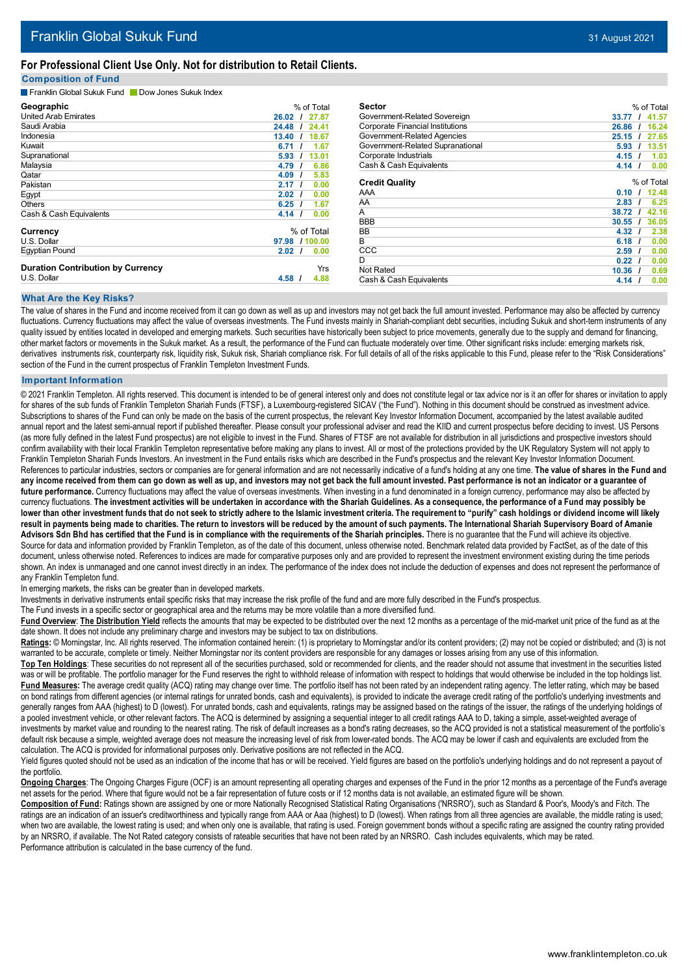### **For Professional Client Use Only. Not for distribution to Retail Clients.**

### **Composition of Fund**

**Franklin Global Sukuk Fund BLOOW Jones Sukuk Index** 

| Geographic                               | % of Total                     |
|------------------------------------------|--------------------------------|
| <b>United Arab Emirates</b>              | 27.87<br>26.02                 |
| Saudi Arabia                             | 24.48<br>24.41                 |
| Indonesia                                | 18.67<br>13.40                 |
| Kuwait                                   | 1.67<br>6.71                   |
| Supranational                            | 13.01<br>5.93                  |
| Malaysia                                 | 6.86<br>4.79                   |
| Qatar                                    | 5.83<br>4.09<br>$\prime$       |
| Pakistan                                 | 0.00<br>2.17                   |
| Egypt                                    | 0.00<br>2.02                   |
| Others                                   | 1.67<br>6.25<br>$\overline{1}$ |
| Cash & Cash Equivalents                  | 4.14<br>0.00<br>- 1            |
| Currency                                 | % of Total                     |
| U.S. Dollar                              | 1100.00<br>97.98               |
| <b>Egyptian Pound</b>                    | 2.02<br>0.00                   |
| <b>Duration Contribution by Currency</b> | Yrs                            |
| U.S. Dollar                              | 4.58<br>4.88                   |

| <b>Sector</b>                           | % of Total                     |
|-----------------------------------------|--------------------------------|
| Government-Related Sovereign            | 41.57<br>33.77                 |
| <b>Corporate Financial Institutions</b> | 26.86<br>16.24                 |
| Government-Related Agencies             | 25.15<br>27.65                 |
| Government-Related Supranational        | 5.93<br>13.51                  |
| Corporate Industrials                   | 4.15<br>1.03<br>$\overline{1}$ |
| Cash & Cash Equivalents                 | 4.14 <sub>l</sub><br>0.00      |
| <b>Credit Quality</b>                   | % of Total                     |
| AAA                                     | 12.48<br>0.10                  |
| AA                                      | 2.83<br>6.25                   |
| A                                       | 38.72<br>42.16                 |
| <b>BBB</b>                              | 30.55<br>36.05<br>$\prime$     |
| <b>BB</b>                               | 4.32<br>2.38                   |
| B                                       | 6.18<br>0.00<br>$\overline{1}$ |
| CCC                                     | 2.59<br>0.00<br>$\prime$       |
| D                                       | 0.00<br>0.22                   |
| Not Rated                               | 10.36<br>0.69<br>$\prime$      |
| Cash & Cash Equivalents                 | 4.14<br>0.00<br>- 1            |

### **What Are the Key Risks?**

The value of shares in the Fund and income received from it can go down as well as up and investors may not get back the full amount invested. Performance may also be affected by currency fluctuations. Currency fluctuations may affect the value of overseas investments. The Fund invests mainly in Shariah-compliant debt securities, including Sukuk and short-term instruments of any quality issued by entities located in developed and emerging markets. Such securities have historically been subject to price movements, generally due to the supply and demand for financing, other market factors or movements in the Sukuk market. As a result, the performance of the Fund can fluctuate moderately over time. Other significant risks include: emerging markets risk, derivatives instruments risk, counterparty risk, liquidity risk, Sukuk risk, Shariah compliance risk. For full details of all of the risks applicable to this Fund, please refer to the "Risk Considerations" section of the Fund in the current prospectus of Franklin Templeton Investment Funds.

#### **Important Information**

© 2021 Franklin Templeton. All rights reserved. This document is intended to be of general interest only and does not constitute legal or tax advice nor is it an offer for shares or invitation to apply for shares of the sub funds of Franklin Templeton Shariah Funds (FTSF), a Luxembourg-registered SICAV ("the Fund"). Nothing in this document should be construed as investment advice. Subscriptions to shares of the Fund can only be made on the basis of the current prospectus, the relevant Key Investor Information Document, accompanied by the latest available audited annual report and the latest semi-annual report if published thereafter. Please consult your professional adviser and read the KIID and current prospectus before deciding to invest. US Persons (as more fully defined in the latest Fund prospectus) are not eligible to invest in the Fund. Shares of FTSF are not available for distribution in all jurisdictions and prospective investors should confirm availability with their local Franklin Templeton representative before making any plans to invest. All or most of the protections provided by the UK Regulatory System will not apply to Franklin Templeton Shariah Funds Investors. An investment in the Fund entails risks which are described in the Fund's prospectus and the relevant Key Investor Information Document. References to particular industries, sectors or companies are for general information and are not necessarily indicative of a fund's holding at any one time. The value of shares in the Fund and any income received from them can go down as well as up, and investors may not get back the full amount invested. Past performance is not an indicator or a guarantee of future performance. Currency fluctuations may affect the value of overseas investments. When investing in a fund denominated in a foreign currency, performance may also be affected by currency fluctuations. The investment activities will be undertaken in accordance with the Shariah Guidelines. As a consequence, the performance of a Fund may possibly be lower than other investment funds that do not seek to strictly adhere to the Islamic investment criteria. The requirement to "purify" cash holdings or dividend income will likely result in payments being made to charities. The return to investors will be reduced by the amount of such payments. The International Shariah Supervisory Board of Amanie Advisors Sdn Bhd has certified that the Fund is in compliance with the requirements of the Shariah principles. There is no guarantee that the Fund will achieve its objective. Source for data and information provided by Franklin Templeton, as of the date of this document, unless otherwise noted. Benchmark related data provided by FactSet, as of the date of this document, unless otherwise noted. References to indices are made for comparative purposes only and are provided to represent the investment environment existing during the time periods shown. An index is unmanaged and one cannot invest directly in an index. The performance of the index does not include the deduction of expenses and does not represent the performance of any Franklin Templeton fund.

In emerging markets, the risks can be greater than in developed markets.

Investments in derivative instruments entail specific risks that may increase the risk profile of the fund and are more fully described in the Fund's prospectus.

The Fund invests in a specific sector or geographical area and the returns may be more volatile than a more diversified fund.

Fund Overview: The Distribution Yield reflects the amounts that may be expected to be distributed over the next 12 months as a percentage of the mid-market unit price of the fund as at the date shown. It does not include any preliminary charge and investors may be subject to tax on distributions.

Ratings: © Morningstar, Inc. All rights reserved. The information contained herein: (1) is proprietary to Morningstar and/or its content providers; (2) may not be copied or distributed; and (3) is not warranted to be accurate, complete or timely. Neither Morningstar nor its content providers are responsible for any damages or losses arising from any use of this information.

**Top Ten Holdings**: These securities do not represent all of the securities purchased, sold or recommended for clients, and the reader should not assume that investment in the securities listed was or will be profitable. The portfolio manager for the Fund reserves the right to withhold release of information with respect to holdings that would otherwise be included in the top holdings list. Fund Measures: The average credit quality (ACQ) rating may change over time. The portfolio itself has not been rated by an independent rating agency. The letter rating, which may be based on bond ratings from different agencies (or internal ratings for unrated bonds, cash and equivalents), is provided to indicate the average credit rating of the portfolio's underlying investments and generally ranges from AAA (highest) to D (lowest). For unrated bonds, cash and equivalents, ratings may be assigned based on the ratings of the issuer, the ratings of the underlying holdings of a pooled investment vehicle, or other relevant factors. The ACQ is determined by assigning a sequential integer to all credit ratings AAA to D, taking a simple, asset-weighted average of investments by market value and rounding to the nearest rating. The risk of default increases as a bond's rating decreases, so the ACQ provided is not a statistical measurement of the portfolio's default risk because a simple, weighted average does not measure the increasing level of risk from lower-rated bonds. The ACQ may be lower if cash and equivalents are excluded from the calculation. The ACQ is provided for informational purposes only. Derivative positions are not reflected in the ACQ.

Yield figures quoted should not be used as an indication of the income that has or will be received. Yield figures are based on the portfolio's underlying holdings and do not represent a payout of the portfolio.

**Ongoing Charges**: The Ongoing Charges Figure (OCF) is an amount representing all operating charges and expenses of the Fund in the prior 12 months as a percentage of the Fund's average net assets for the period. Where that figure would not be a fair representation of future costs or if 12 months data is not available, an estimated figure will be shown.

**Composition of Fund:** Ratings shown are assigned by one or more Nationally Recognised Statistical Rating Organisations ('NRSRO'), such as Standard & Poor's, Moody's and Fitch. The ratings are an indication of an issuer's creditworthiness and typically range from AAA or Aaa (highest) to D (lowest). When ratings from all three agencies are available, the middle rating is used; when two are available, the lowest rating is used; and when only one is available, that rating is used. Foreign government bonds without a specific rating are assigned the country rating provided by an NRSRO, if available. The Not Rated category consists of rateable securities that have not been rated by an NRSRO. Cash includes equivalents, which may be rated. Performance attribution is calculated in the base currency of the fund.